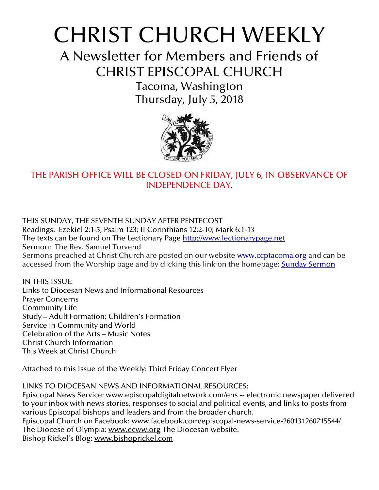# CHRIST CHURCH WEEKLY

A Newsletter for Members and Friends of CHRIST EPISCOPAL CHURCH

> Tacoma, Washington Thursday, July 5, 2018



# THE PARISH OFFICE WILL BE CLOSED ON FRIDAY, JULY 6, IN OBSERVANCE OF INDEPENDENCE DAY.

THIS SUNDAY, THE SEVENTH SUNDAY AFTER PENTECOST Readings: Ezekiel 2:1-5; Psalm 123; II Corinthians 12:2-10; Mark 6:1-13 The texts can be found on The Lectionary Page [http://www.lectionarypage.net](http://www.lectionarypage.net/) Sermon: The Rev. Samuel Torvend Sermons preached at Christ Church are posted on our website [www.ccptacoma.org](http://www.ccptacoma.org/) and can be accessed from the Worship page and by clicking this link on the homepage: Sunday [Sermon](http://www.ccptacoma.org/article/43/worship/sermons)

IN THIS ISSUE: Links to Diocesan News and Informational Resources Prayer Concerns Community Life Study – Adult Formation; Children's Formation Service in Community and World Celebration of the Arts – Music Notes Christ Church Information This Week at Christ Church

Attached to this Issue of the Weekly: Third Friday Concert Flyer

LINKS TO DIOCESAN NEWS AND INFORMATIONAL RESOURCES: Episcopal News Service: [www.episcopaldigitalnetwork.com/ens](http://www.episcopaldigitalnetwork.com/ens) -- electronic newspaper delivered to your inbox with news stories, responses to social and political events, and links to posts from various Episcopal bishops and leaders and from the broader church. Episcopal Church on Facebook: [www.facebook.com/episcopal-news-service-260131260715544/](http://www.facebook.com/episcopal-news-service-260131260715544/) The Diocese of Olympia: [www.ecww.org](http://www.ecww.org/) The Diocesan website. Bishop Rickel's Blog: [www.bishoprickel.com](http://www.bishoprickel.com/)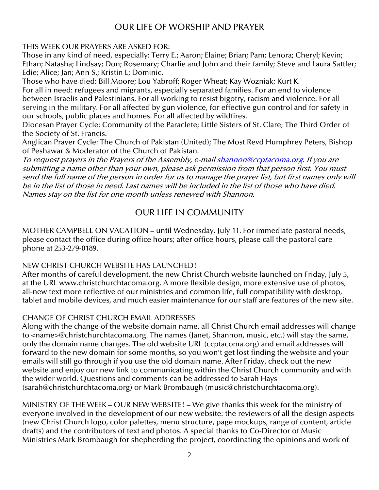## OUR LIFE OF WORSHIP AND PRAYER

#### THIS WEEK OUR PRAYERS ARE ASKED FOR:

Those in any kind of need, especially: Terry E.; Aaron; Elaine; Brian; Pam; Lenora; Cheryl; Kevin; Ethan; Natasha; Lindsay; Don; Rosemary; Charlie and John and their family; Steve and Laura Sattler; Edie; Alice; Jan; Ann S.; Kristin L; Dominic.

Those who have died: Bill Moore; Lou Yabroff; Roger Wheat; Kay Wozniak; Kurt K. For all in need: refugees and migrants, especially separated families. For an end to violence between Israelis and Palestinians. For all working to resist bigotry, racism and violence. For all serving in the military. For all affected by gun violence, for effective gun control and for safety in our schools, public places and homes. For all affected by wildfires.

Diocesan Prayer Cycle: Community of the Paraclete; Little Sisters of St. Clare; The Third Order of the Society of St. Francis.

Anglican Prayer Cycle: The Church of Pakistan (United); The Most Revd Humphrey Peters, Bishop of Peshawar & Moderator of the Church of Pakistan.

To request prayers in the Prayers of the Assembly, e-mai[l shannon@ccptacoma.org.](mailto:shannon@ccptacoma.org) If you are submitting a name other than your own, please ask permission from that person first. You must send the full name of the person in order for us to manage the prayer list, but first names only will be in the list of those in need. Last names will be included in the list of those who have died. Names stay on the list for one month unless renewed with Shannon.

## OUR LIFE IN COMMUNITY

MOTHER CAMPBELL ON VACATION – until Wednesday, July 11. For immediate pastoral needs, please contact the office during office hours; after office hours, please call the pastoral care phone at 253-279-0189.

#### NEW CHRIST CHURCH WEBSITE HAS LAUNCHED!

After months of careful development, the new Christ Church website launched on Friday, July 5, at the URL www.christchurchtacoma.org. A more flexible design, more extensive use of photos, all-new text more reflective of our ministries and common life, full compatibility with desktop, tablet and mobile devices, and much easier maintenance for our staff are features of the new site.

#### CHANGE OF CHRIST CHURCH EMAIL ADDRESSES

Along with the change of the website domain name, all Christ Church email addresses will change to <name>@christchurchtacoma.org. The names (Janet, Shannon, music, etc.) will stay the same, only the domain name changes. The old website URL (ccptacoma.org) and email addresses will forward to the new domain for some months, so you won't get lost finding the website and your emails will still go through if you use the old domain name. After Friday, check out the new website and enjoy our new link to communicating within the Christ Church community and with the wider world. Questions and comments can be addressed to Sarah Hays (sarah@christchurchtacoma.org) or Mark Brombaugh (music@christchurchtacoma.org).

MINISTRY OF THE WEEK – OUR NEW WEBSITE! – We give thanks this week for the ministry of everyone involved in the development of our new website: the reviewers of all the design aspects (new Christ Church logo, color palettes, menu structure, page mockups, range of content, article drafts) and the contributors of text and photos. A special thanks to Co-Director of Music Ministries Mark Brombaugh for shepherding the project, coordinating the opinions and work of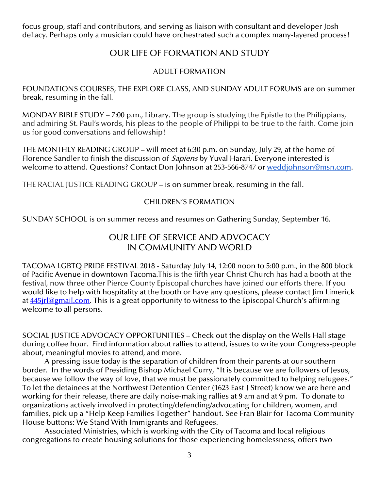focus group, staff and contributors, and serving as liaison with consultant and developer Josh deLacy. Perhaps only a musician could have orchestrated such a complex many-layered process!

## OUR LIFE OF FORMATION AND STUDY

#### ADULT FORMATION

FOUNDATIONS COURSES, THE EXPLORE CLASS, AND SUNDAY ADULT FORUMS are on summer break, resuming in the fall.

MONDAY BIBLE STUDY – 7:00 p.m., Library. The group is studying the Epistle to the Philippians, and admiring St. Paul's words, his pleas to the people of Philippi to be true to the faith. Come join us for good conversations and fellowship!

THE MONTHLY READING GROUP – will meet at 6:30 p.m. on Sunday, July 29, at the home of Florence Sandler to finish the discussion of *Sapiens* by Yuval Harari. Everyone interested is welcome to attend. Questions? Contact Don Johnson at 253-566-8747 or [weddjohnson@msn.com.](mailto:weddjohnson@msn.com)

THE RACIAL JUSTICE READING GROUP – is on summer break, resuming in the fall.

#### CHILDREN'S FORMATION

SUNDAY SCHOOL is on summer recess and resumes on Gathering Sunday, September 16.

## OUR LIFE OF SERVICE AND ADVOCACY IN COMMUNITY AND WORLD

TACOMA LGBTQ PRIDE FESTIVAL 2018 - Saturday July 14, 12:00 noon to 5:00 p.m., in the 800 block of Pacific Avenue in downtown Tacoma.This is the fifth year Christ Church has had a booth at the festival, now three other Pierce County Episcopal churches have joined our efforts there. If you would like to help with hospitality at the booth or have any questions, please contact Jim Limerick at 445 rl@gmail.com. This is a great opportunity to witness to the Episcopal Church's affirming welcome to all persons.

SOCIAL JUSTICE ADVOCACY OPPORTUNITIES – Check out the display on the Wells Hall stage during coffee hour. Find information about rallies to attend, issues to write your Congress-people about, meaningful movies to attend, and more.

A pressing issue today is the separation of children from their parents at our southern border. In the words of Presiding Bishop Michael Curry, "It is because we are followers of Jesus, because we follow the way of love, that we must be passionately committed to helping refugees." To let the detainees at the Northwest Detention Center (1623 East J Street) know we are here and working for their release, there are daily noise-making rallies at 9 am and at 9 pm. To donate to organizations actively involved in protecting/defending/advocating for children, women, and families, pick up a "Help Keep Families Together" handout. See Fran Blair for Tacoma Community House buttons: We Stand With Immigrants and Refugees.

Associated Ministries, which is working with the City of Tacoma and local religious congregations to create housing solutions for those experiencing homelessness, offers two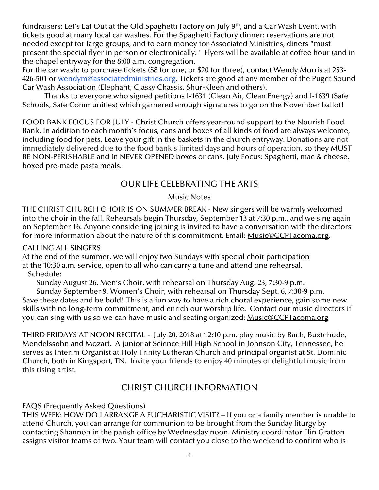fundraisers: Let's Eat Out at the Old Spaghetti Factory on July 9<sup>th</sup>, and a Car Wash Event, with tickets good at many local car washes. For the Spaghetti Factory dinner: reservations are not needed except for large groups, and to earn money for Associated Ministries, diners "must present the special flyer in person or electronically." Flyers will be available at coffee hour (and in the chapel entryway for the 8:00 a.m. congregation.

For the car wash: to purchase tickets (\$8 for one, or \$20 for three), contact Wendy Morris at 253- 426-501 or [wendym@associatedministries.org.](mailto:wendym@associatedministries.org) Tickets are good at any member of the Puget Sound Car Wash Association (Elephant, Classy Chassis, Shur-Kleen and others).

Thanks to everyone who signed petitions I-1631 (Clean Air, Clean Energy) and I-1639 (Safe Schools, Safe Communities) which garnered enough signatures to go on the November ballot!

FOOD BANK FOCUS FOR JULY - Christ Church offers year-round support to the Nourish Food Bank. In addition to each month's focus, cans and boxes of all kinds of food are always welcome, including food for pets. Leave your gift in the baskets in the church entryway. Donations are not immediately delivered due to the food bank's limited days and hours of operation, so they MUST BE NON-PERISHABLE and in NEVER OPENED boxes or cans. July Focus: Spaghetti, mac & cheese, boxed pre-made pasta meals.

## OUR LIFE CELEBRATING THE ARTS

#### Music Notes

THE CHRIST CHURCH CHOIR IS ON SUMMER BREAK - New singers will be warmly welcomed into the choir in the fall. Rehearsals begin Thursday, September 13 at 7:30 p.m., and we sing again on September 16. Anyone considering joining is invited to have a conversation with the directors for more information about the nature of this commitment. Email: [Music@CCPTacoma.org.](mailto:Music@CCPTacoma.org)

#### CALLING ALL SINGERS

At the end of the summer, we will enjoy two Sundays with special choir participation at the 10:30 a.m. service, open to all who can carry a tune and attend one rehearsal. Schedule:

Sunday August 26, Men's Choir, with rehearsal on Thursday Aug. 23, 7:30-9 p.m.

Sunday September 9, Women's Choir, with rehearsal on Thursday Sept. 6, 7:30-9 p.m. Save these dates and be bold! This is a fun way to have a rich choral experience, gain some new skills with no long-term commitment, and enrich our worship life. Contact our music directors if you can sing with us so we can have music and seating organized: [Music@CCPTacoma.org](mailto:Music@CCPTacoma.org)

THIRD FRIDAYS AT NOON RECITAL - July 20, 2018 at 12:10 p.m. play music by Bach, Buxtehude, Mendelssohn and Mozart. A junior at Science Hill High School in Johnson City, Tennessee, he serves as Interim Organist at Holy Trinity Lutheran Church and principal organist at St. Dominic Church, both in Kingsport, TN. Invite your friends to enjoy 40 minutes of delightful music from this rising artist.

## CHRIST CHURCH INFORMATION

#### FAQS (Frequently Asked Questions)

THIS WEEK: HOW DO I ARRANGE A EUCHARISTIC VISIT? – If you or a family member is unable to attend Church, you can arrange for communion to be brought from the Sunday liturgy by contacting Shannon in the parish office by Wednesday noon. Ministry coordinator Elin Gratton assigns visitor teams of two. Your team will contact you close to the weekend to confirm who is